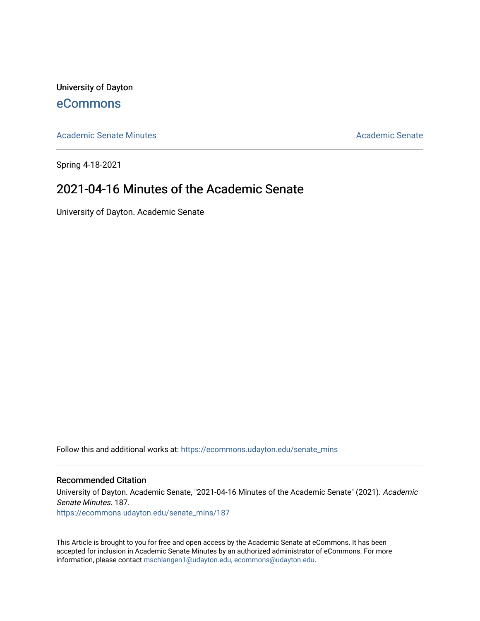University of Dayton [eCommons](https://ecommons.udayton.edu/)

[Academic Senate Minutes](https://ecommons.udayton.edu/senate_mins) [Academic Senate](https://ecommons.udayton.edu/academic_senate) Academic Senate

Spring 4-18-2021

# 2021-04-16 Minutes of the Academic Senate

University of Dayton. Academic Senate

Follow this and additional works at: [https://ecommons.udayton.edu/senate\\_mins](https://ecommons.udayton.edu/senate_mins?utm_source=ecommons.udayton.edu%2Fsenate_mins%2F187&utm_medium=PDF&utm_campaign=PDFCoverPages)

### Recommended Citation

University of Dayton. Academic Senate, "2021-04-16 Minutes of the Academic Senate" (2021). Academic Senate Minutes. 187.

[https://ecommons.udayton.edu/senate\\_mins/187](https://ecommons.udayton.edu/senate_mins/187?utm_source=ecommons.udayton.edu%2Fsenate_mins%2F187&utm_medium=PDF&utm_campaign=PDFCoverPages)

This Article is brought to you for free and open access by the Academic Senate at eCommons. It has been accepted for inclusion in Academic Senate Minutes by an authorized administrator of eCommons. For more information, please contact [mschlangen1@udayton.edu, ecommons@udayton.edu](mailto:mschlangen1@udayton.edu,%20ecommons@udayton.edu).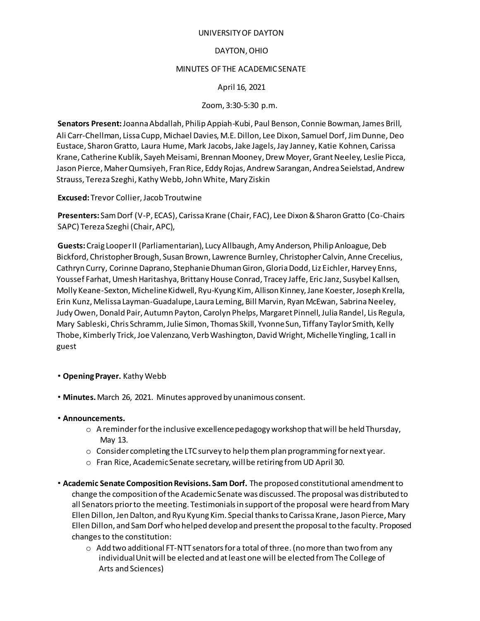### UNIVERSITY OF DAYTON

### DAYTON, OHIO

### MINUTES OF THE ACADEMIC SENATE

### April 16, 2021

### Zoom, 3:30-5:30 p.m.

**Senators Present:** Joanna Abdallah, Philip Appiah-Kubi, Paul Benson, Connie Bowman, James Brill, Ali Carr-Chellman, Lissa Cupp, Michael Davies, M.E. Dillon, Lee Dixon, Samuel Dorf, Jim Dunne, Deo Eustace, Sharon Gratto, Laura Hume, Mark Jacobs, Jake Jagels, Jay Janney, Katie Kohnen, Carissa Krane, Catherine Kublik, Sayeh Meisami, Brennan Mooney, Drew Moyer, Grant Neeley, Leslie Picca, Jason Pierce, Maher Qumsiyeh, Fran Rice, Eddy Rojas, Andrew Sarangan, Andrea Seielstad, Andrew Strauss, Tereza Szeghi, Kathy Webb, John White, Mary Ziskin

**Excused:** Trevor Collier, Jacob Troutwine

**Presenters:** Sam Dorf (V-P, ECAS), Carissa Krane (Chair, FAC), Lee Dixon & Sharon Gratto (Co-Chairs SAPC) Tereza Szeghi (Chair, APC),

**Guests:** Craig Looper II (Parliamentarian), Lucy Allbaugh, Amy Anderson, Philip Anloague, Deb Bickford, Christopher Brough, Susan Brown, Lawrence Burnley, Christopher Calvin, Anne Crecelius, Cathryn Curry, Corinne Daprano, Stephanie Dhuman Giron, Gloria Dodd, Liz Eichler, Harvey Enns, Youssef Farhat, Umesh Haritashya, Brittany House Conrad, Tracey Jaffe, Eric Janz, Susybel Kallsen, Molly Keane-Sexton, Micheline Kidwell, Ryu-Kyung Kim, Allison Kinney, Jane Koester, Joseph Krella, Erin Kunz, Melissa Layman-Guadalupe, Laura Leming, Bill Marvin, Ryan McEwan, Sabrina Neeley, Judy Owen, Donald Pair, Autumn Payton, Carolyn Phelps, Margaret Pinnell, Julia Randel, Lis Regula, Mary Sableski, Chris Schramm, Julie Simon, Thomas Skill, Yvonne Sun, Tiffany Taylor Smith, Kelly Thobe, Kimberly Trick, Joe Valenzano, Verb Washington, David Wright, Michelle Yingling, 1 call in guest

### • **Opening Prayer.** Kathy Webb

• **Minutes.** March 26, 2021. Minutes approved by unanimous consent.

### • **Announcements.**

- $\circ$  A reminder for the inclusive excellence pedagogy workshop that will be held Thursday, May 13.
- $\circ$  Consider completing the LTC survey to help them plan programming for next year.
- o Fran Rice, Academic Senate secretary, will be retiring from UD April 30.
- **Academic Senate Composition Revisions. Sam Dorf.** The proposed constitutional amendment to change the composition of the Academic Senate was discussed. The proposal was distributed to all Senators prior to the meeting. Testimonials in support of the proposal were heard from Mary Ellen Dillon, Jen Dalton, and Ryu Kyung Kim. Special thanks to Carissa Krane, Jason Pierce, Mary Ellen Dillon, and Sam Dorf who helped develop and present the proposal to the faculty. Proposed changes to the constitution:
	- $\circ$  Add two additional FT-NTT senators for a total of three. (no more than two from any individual Unit will be elected and at least one will be elected from The College of Arts and Sciences)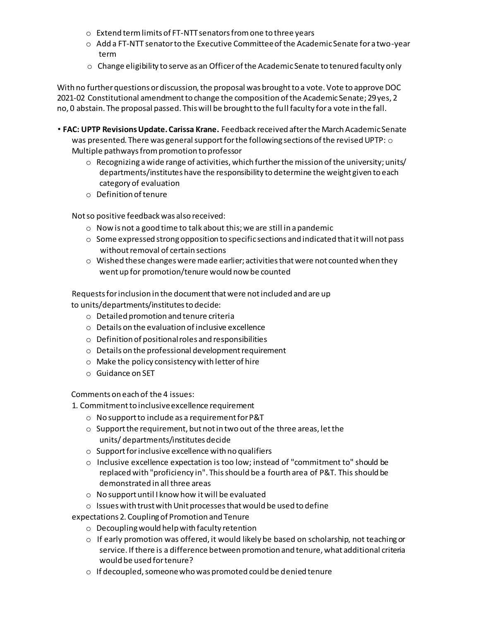- o Extend term limits of FT-NTT senators from one to three years
- $\circ$  Add a FT-NTT senator to the Executive Committee of the Academic Senate for a two-year term
- $\circ$  Change eligibility to serve as an Officer of the Academic Senate to tenured faculty only

With no further questions or discussion, the proposal was brought to a vote. Vote to approve DOC 2021-02 Constitutional amendment to change the composition of the Academic Senate; 29 yes, 2 no, 0 abstain. The proposal passed. This will be brought to the full faculty for a vote in the fall.

• **FAC: UPTP Revisions Update. Carissa Krane.** Feedback received after the March Academic Senate was presented. There was general support for the following sections of the revised UPTP: o Multiple pathways from promotion to professor

- $\circ$  Recognizing a wide range of activities, which further the mission of the university; units/ departments/institutes have the responsibility to determine the weight given to each category of evaluation
- o Definition of tenure

Not so positive feedback was also received:

- o Now is not a good time to talk about this; we are still in a pandemic
- $\circ$  Some expressed strong opposition to specific sections and indicated that it will not pass without removal of certain sections
- $\circ$  Wished these changes were made earlier; activities that were not counted when they went up for promotion/tenure would now be counted

Requests for inclusion in the document that were not included and are up to units/departments/institutes to decide:

- o Detailed promotion and tenure criteria
- o Details on the evaluation of inclusive excellence
- o Definition of positional roles and responsibilities
- o Details on the professional development requirement
- o Make the policy consistency with letter of hire
- o Guidance on SET

Comments on each of the 4 issues:

1. Commitment to inclusive excellence requirement

- o No support to include as a requirement for P&T
- $\circ$  Support the requirement, but not in two out of the three areas, let the units/ departments/institutes decide
- $\circ$  Support for inclusive excellence with no qualifiers
- $\circ$  Inclusive excellence expectation is too low; instead of "commitment to" should be replaced with "proficiency in". This should be a fourth area of P&T. This should be demonstrated in all three areas
- $\circ$  No support until I know how it will be evaluated
- o Issues with trust with Unit processes that would be used to define

expectations 2. Coupling of Promotion and Tenure

- o Decoupling would help with faculty retention
- $\circ$  If early promotion was offered, it would likely be based on scholarship, not teaching or service. If there is a difference between promotion and tenure, what additional criteria would be used for tenure?
- $\circ$  If decoupled, someone who was promoted could be denied tenure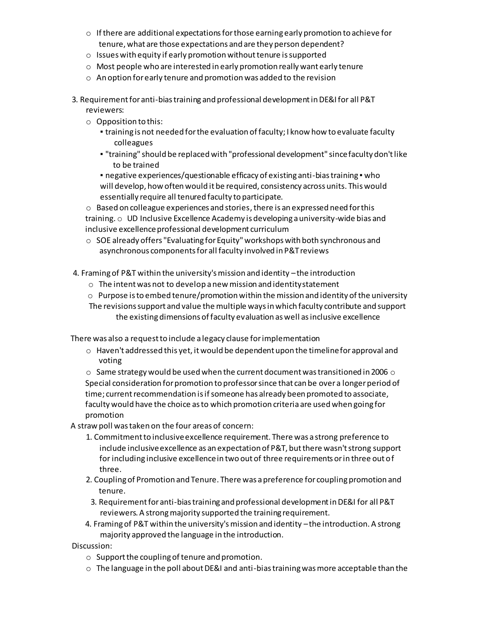- $\circ$  If there are additional expectations for those earning early promotion to achieve for tenure, what are those expectations and are they person dependent?
- o Issues with equity if early promotion without tenure is supported
- o Most people who are interested in early promotion really want early tenure
- o An option for early tenure and promotion was added to the revision
- 3. Requirement for anti-bias training and professional development in DE&I for all P&T reviewers:
	- $\circ$  Opposition to this:
		- training is not needed for the evaluation of faculty; I know how to evaluate faculty colleagues
		- "training" should be replaced with "professional development" since faculty don't like to be trained

▪ negative experiences/questionable efficacy of existing anti-bias training ▪ who will develop, how often would it be required, consistency across units. This would essentially require all tenured faculty to participate.

 $\circ$  Based on colleague experiences and stories, there is an expressed need for this training. o UD Inclusive Excellence Academy is developing a university-wide bias and inclusive excellence professional development curriculum

- $\circ$  SOE already offers "Evaluating for Equity" workshops with both synchronous and asynchronous components for all faculty involved in P&T reviews
- 4. Framing of P&T within the university's mission and identity –the introduction
	- o The intent was not to develop a new mission and identity statement
	- $\circ$  Purpose is to embed tenure/promotion within the mission and identity of the university The revisions support and value the multiple ways in which faculty contribute and support the existing dimensions of faculty evaluation as well as inclusive excellence

There was also a request to include a legacy clause for implementation

 $\circ$  Haven't addressed this yet, it would be dependent upon the timeline for approval and voting

 $\,\circ\,$  Same strategy would be used when the current document was transitioned in 2006  $\,\circ\,$ Special consideration for promotion to professor since that can be over a longer period of time; current recommendation is if someone has already been promoted to associate, faculty would have the choice as to which promotion criteria are used when going for promotion

A straw poll was taken on the four areas of concern:

- 1. Commitment to inclusive excellence requirement. There was a strong preference to include inclusive excellence as an expectation of P&T, but there wasn't strong support for including inclusive excellence in two out of three requirements or in three out of three.
- 2. Coupling of Promotion and Tenure. There was a preference for coupling promotion and tenure.
- 3. Requirement for anti-bias training and professional development in DE&I for all P&T reviewers. A strong majority supported the training requirement.
- 4. Framing of P&T within the university's mission and identity –the introduction. A strong majority approved the language in the introduction.

Discussion:

- o Support the coupling of tenure and promotion.
- $\circ$  The language in the poll about DE&I and anti-bias training was more acceptable than the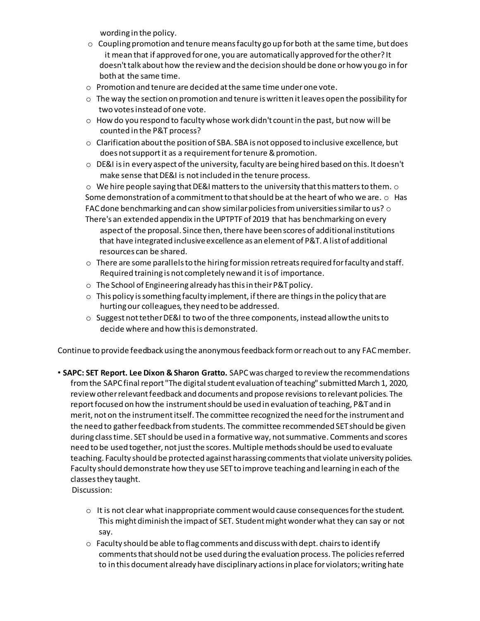wording in the policy.

- $\circ$  Coupling promotion and tenure means faculty go up for both at the same time, but does it mean that if approved for one, you are automatically approved for the other? It doesn't talk about how the review and the decision should be done or how you go in for both at the same time.
- $\circ$  Promotion and tenure are decided at the same time under one vote.
- $\circ$  The way the section on promotion and tenure is written it leaves open the possibility for two votes instead of one vote.
- $\circ$  How do you respond to faculty whose work didn't count in the past, but now will be counted in the P&T process?
- o Clarification about the position of SBA. SBA is not opposed to inclusive excellence, but does not support it as a requirement for tenure & promotion.
- $\circ$  DE&I is in every aspect of the university, faculty are being hired based on this. It doesn't make sense that DE&I is not included in the tenure process.

 $\circ$  We hire people saying that DE&I matters to the university that this matters to them.  $\circ$ Some demonstration of a commitment to that should be at the heart of who we are.  $\circ$  Has FAC done benchmarking and can show similar policies from universities similar to us?  $\circ$ There's an extended appendix in the UPTPTF of 2019 that has benchmarking on every aspect of the proposal. Since then, there have been scores of additional institutions that have integrated inclusive excellence as an element of P&T. A list of additional resources can be shared.

- $\circ$  There are some parallels to the hiring for mission retreats required for faculty and staff. Required training is not completely new and it is of importance.
- o The School of Engineering already has this in their P&T policy.
- o This policy is something faculty implement, if there are things in the policy that are hurting our colleagues, they need to be addressed.
- $\circ$  Suggest not tether DE&I to two of the three components, instead allow the units to decide where and how this is demonstrated.

Continue to provide feedback using the anonymous feedback form or reach out to any FAC member.

- **SAPC: SET Report. Lee Dixon & Sharon Gratto.** SAPC was charged to review the recommendations from the SAPC final report "The digital student evaluation of teaching" submitted March 1, 2020, review other relevant feedback and documents and propose revisions to relevant policies. The report focused on how the instrument should be used in evaluation of teaching, P&T and in merit, not on the instrument itself. The committee recognized the need for the instrument and the need to gather feedback from students. The committee recommended SET should be given during class time. SET should be used in a formative way, not summative. Comments and scores need to be used together, not just the scores. Multiple methods should be used to evaluate teaching. Faculty should be protected against harassing comments that violate university policies. Faculty should demonstrate how they use SET to improve teaching and learning in each of the classes they taught.
	- Discussion:
		- $\circ$  It is not clear what inappropriate comment would cause consequences for the student. This might diminish the impact of SET. Student might wonder what they can say or not say.
		- $\circ$  Faculty should be able to flag comments and discuss with dept. chairs to identify comments that should not be used during the evaluation process. The policies referred to in this document already have disciplinary actions in place for violators; writing hate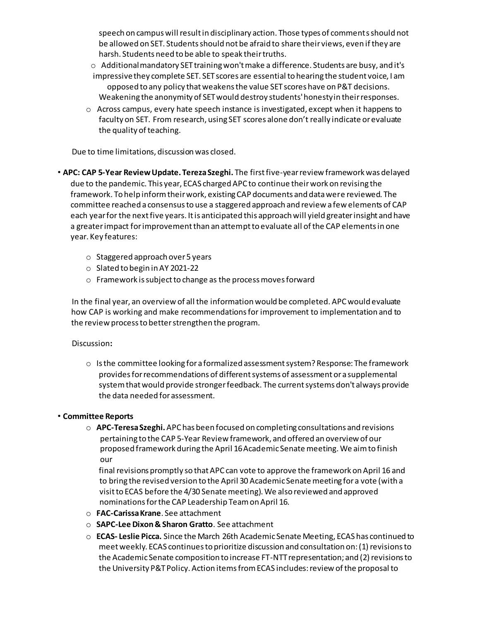speech on campus will result in disciplinary action. Those types of comments should not be allowed on SET. Students should not be afraid to share their views, even if they are harsh. Students need to be able to speak their truths.

- $\circ$  Additional mandatory SET training won't make a difference. Students are busy, and it's
- impressivethey complete SET. SET scores are essential to hearing the student voice, I am opposed to any policy that weakens the value SET scores have on P&T decisions. Weakening the anonymity of SET would destroy students' honesty in their responses.
- $\circ$  Across campus, every hate speech instance is investigated, except when it happens to faculty on SET. From research, using SET scores alone don't really indicate or evaluate the quality of teaching.

Due to time limitations, discussion was closed.

- **APC: CAP 5-Year Review Update. Tereza Szeghi.** The first five-year review framework was delayed due to the pandemic. This year, ECAS charged APC to continue their work on revising the framework. To help inform their work, existing CAP documents and data were reviewed. The committee reached a consensus to use a staggered approach and review a few elements of CAP each year for the next five years. It is anticipated this approach will yield greater insight and have a greater impact for improvement than an attempt to evaluate all of the CAP elements in one year. Key features:
	- o Staggered approach over 5 years
	- o Slated to begin in AY 2021-22
	- o Framework is subject to change as the process moves forward

In the final year, an overview of all the information would be completed. APC would evaluate how CAP is working and make recommendations for improvement to implementation and to the review process to better strengthen the program.

### Discussion**:**

o Is the committee looking for a formalized assessment system? Response: The framework provides for recommendations of different systems of assessment or a supplemental system that would provide stronger feedback. The current systems don't always provide the data needed for assessment.

### • **Committee Reports**

o **APC-Teresa Szeghi.** APC has been focused on completing consultations and revisions pertaining to the CAP 5-Year Review framework, and offered an overview of our proposed framework during the April 16 Academic Senate meeting. We aim to finish our

final revisions promptly so that APC can vote to approve the framework on April 16 and to bring the revised version to the April 30 Academic Senate meeting for a vote (with a visit to ECAS before the 4/30 Senate meeting). We also reviewed and approved nominations for the CAP Leadership Team on April 16.

- o **FAC-Carissa Krane**. See attachment
- o **SAPC-Lee Dixon & Sharon Gratto**. See attachment
- o **ECAS- Leslie Picca.** Since the March 26th Academic Senate Meeting, ECAS has continued to meet weekly. ECAS continues to prioritize discussion and consultation on: (1) revisions to the Academic Senate composition to increase FT-NTT representation; and (2) revisions to the University P&T Policy. Action items from ECAS includes: review of the proposal to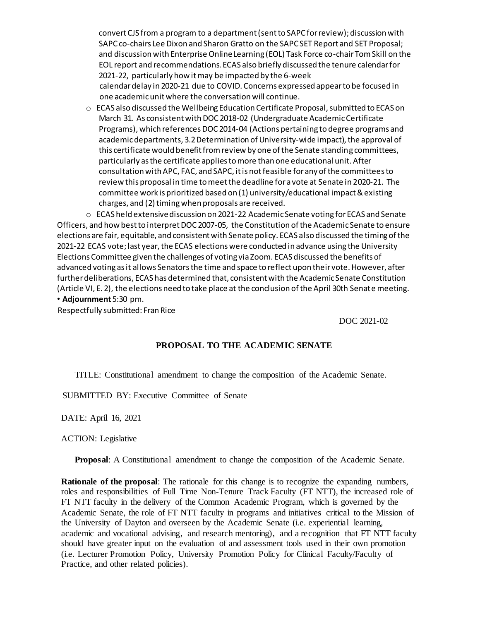convert CJS from a program to a department (sent to SAPC for review); discussion with SAPC co-chairs Lee Dixon and Sharon Gratto on the SAPC SET Report and SET Proposal; and discussion with Enterprise Online Learning (EOL) Task Force co-chair Tom Skill on the EOL report and recommendations. ECAS also briefly discussed the tenure calendar for 2021-22, particularly how it may be impacted by the 6-week calendar delay in 2020-21 due to COVID. Concerns expressed appear to be focused in one academic unit where the conversation will continue.

o ECAS also discussed the Wellbeing Education Certificate Proposal, submitted to ECAS on March 31. As consistent with DOC 2018-02 (Undergraduate Academic Certificate Programs), which references DOC 2014-04 (Actions pertaining to degree programs and academic departments, 3.2 Determination of University-wide impact), the approval of this certificate would benefit from review by one of the Senate standing committees, particularly as the certificate applies to more than one educational unit. After consultation with APC, FAC, and SAPC, it is not feasible for any of the committees to review this proposal in time to meet the deadline for a vote at Senate in 2020-21. The committee work is prioritized based on (1) university/educational impact & existing charges, and (2) timing when proposals are received.

o ECAS held extensive discussion on 2021-22 Academic Senate voting for ECAS and Senate Officers, and how best to interpret DOC 2007-05, the Constitution of the Academic Senate to ensure elections are fair, equitable, and consistent with Senate policy. ECAS also discussed the timing of the 2021-22 ECAS vote; last year, the ECAS elections were conducted in advance using the University Elections Committee given the challenges of voting via Zoom. ECAS discussed the benefits of advanced voting as it allows Senators the time and space to reflect upon their vote. However, after further deliberations, ECAS has determined that, consistent with the Academic Senate Constitution (Article VI, E. 2), the elections need to take place at the conclusion of the April 30th Senate meeting. • **Adjournment** 5:30 pm.

Respectfully submitted: Fran Rice

DOC 2021-02

### **PROPOSAL TO THE ACADEMIC SENATE**

TITLE: Constitutional amendment to change the composition of the Academic Senate.

SUBMITTED BY: Executive Committee of Senate

DATE: April 16, 2021

ACTION: Legislative

**Proposal**: A Constitutional amendment to change the composition of the Academic Senate.

**Rationale of the proposal:** The rationale for this change is to recognize the expanding numbers, roles and responsibilities of Full Time Non-Tenure Track Faculty (FT NTT), the increased role of FT NTT faculty in the delivery of the Common Academic Program, which is governed by the Academic Senate, the role of FT NTT faculty in programs and initiatives critical to the Mission of the University of Dayton and overseen by the Academic Senate (i.e. experiential learning, academic and vocational advising, and research mentoring), and a recognition that FT NTT faculty should have greater input on the evaluation of and assessment tools used in their own promotion (i.e. Lecturer Promotion Policy, University Promotion Policy for Clinical Faculty/Faculty of Practice, and other related policies).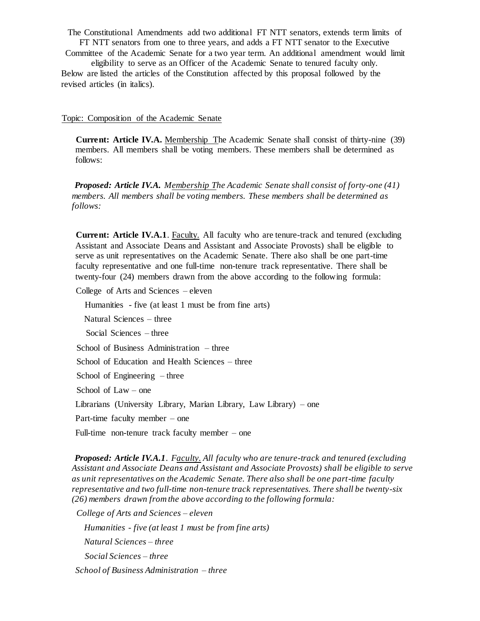The Constitutional Amendments add two additional FT NTT senators, extends term limits of FT NTT senators from one to three years, and adds a FT NTT senator to the Executive

Committee of the Academic Senate for a two year term. An additional amendment would limit eligibility to serve as an Officer of the Academic Senate to tenured faculty only.

Below are listed the articles of the Constitution affected by this proposal followed by the revised articles (in italics).

#### Topic: Composition of the Academic Senate

**Current: Article IV.A.** Membership The Academic Senate shall consist of thirty-nine (39) members. All members shall be voting members. These members shall be determined as follows:

*Proposed: Article IV.A. Membership The Academic Senate shall consist of forty-one (41) members. All members shall be voting members. These members shall be determined as follows:* 

**Current: Article IV.A.1**. Faculty. All faculty who are tenure-track and tenured (excluding Assistant and Associate Deans and Assistant and Associate Provosts) shall be eligible to serve as unit representatives on the Academic Senate. There also shall be one part-time faculty representative and one full-time non-tenure track representative. There shall be twenty-four (24) members drawn from the above according to the following formula:

College of Arts and Sciences – eleven

Humanities - five (at least 1 must be from fine arts)

Natural Sciences – three

Social Sciences – three

School of Business Administration – three

School of Education and Health Sciences – three

School of Engineering – three

School of Law – one

Librarians (University Library, Marian Library, Law Library) – one

Part-time faculty member – one

Full-time non-tenure track faculty member – one

*Proposed: Article IV.A.1. Faculty. All faculty who are tenure-track and tenured (excluding Assistant and Associate Deans and Assistant and Associate Provosts) shall be eligible to serve as unit representatives on the Academic Senate. There also shall be one part-time faculty representative and two full-time non-tenure track representatives. There shall be twenty-six (26) members drawn from the above according to the following formula:* 

*College of Arts and Sciences – eleven Humanities - five (at least 1 must be from fine arts) Natural Sciences – three Social Sciences – three School of Business Administration – three*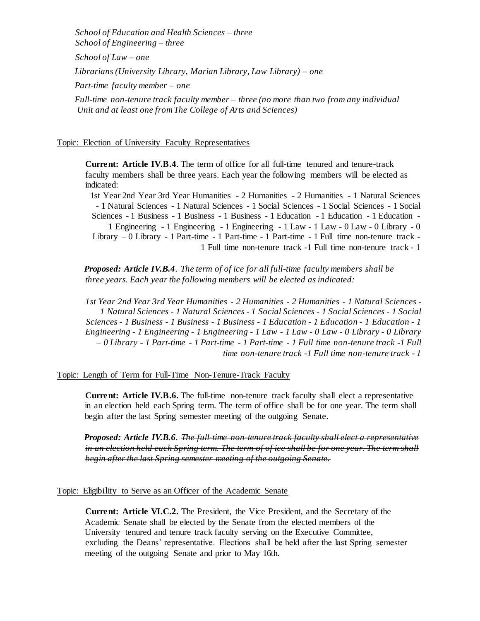*School of Education and Health Sciences – three School of Engineering – three School of Law – one Librarians (University Library, Marian Library, Law Library) – one Part-time faculty member – one Full-time non-tenure track faculty member – three (no more than two from any individual Unit and at least one from The College of Arts and Sciences)* 

Topic: Election of University Faculty Representatives

**Current: Article IV.B.4**. The term of office for all full-time tenured and tenure-track faculty members shall be three years. Each year the following members will be elected as indicated:

1st Year 2nd Year 3rd Year Humanities - 2 Humanities - 2 Humanities - 1 Natural Sciences - 1 Natural Sciences - 1 Natural Sciences - 1 Social Sciences - 1 Social Sciences - 1 Social Sciences - 1 Business - 1 Business - 1 Business - 1 Education - 1 Education - 1 Education - 1 Engineering - 1 Engineering - 1 Engineering - 1 Law - 1 Law - 0 Law - 0 Library - 0 Library – 0 Library - 1 Part-time - 1 Part-time - 1 Part-time - 1 Full time non-tenure track - 1 Full time non-tenure track -1 Full time non-tenure track - 1

*Proposed: Article IV.B.4. The term of of ice for all full-time faculty members shall be three years. Each year the following members will be elected as indicated:* 

*1st Year 2nd Year 3rd Year Humanities - 2 Humanities - 2 Humanities - 1 Natural Sciences - 1 Natural Sciences - 1 Natural Sciences - 1 Social Sciences - 1 Social Sciences - 1 Social Sciences - 1 Business - 1 Business - 1 Business - 1 Education - 1 Education - 1 Education - 1 Engineering - 1 Engineering - 1 Engineering - 1 Law - 1 Law - 0 Law - 0 Library - 0 Library – 0 Library - 1 Part-time - 1 Part-time - 1 Part-time - 1 Full time non-tenure track -1 Full time non-tenure track -1 Full time non-tenure track - 1* 

Topic: Length of Term for Full-Time Non-Tenure-Track Faculty

**Current: Article IV.B.6.** The full-time non-tenure track faculty shall elect a representative in an election held each Spring term. The term of office shall be for one year. The term shall begin after the last Spring semester meeting of the outgoing Senate.

*Proposed: Article IV.B.6. The full-time non-tenure track faculty shall elect a representative in an election held each Spring term. The term of of ice shall be for one year. The term shall begin after the last Spring semester meeting of the outgoing Senate.*

Topic: Eligibility to Serve as an Officer of the Academic Senate

**Current: Article VI.C.2.** The President, the Vice President, and the Secretary of the Academic Senate shall be elected by the Senate from the elected members of the University tenured and tenure track faculty serving on the Executive Committee, excluding the Deans' representative. Elections shall be held after the last Spring semester meeting of the outgoing Senate and prior to May 16th.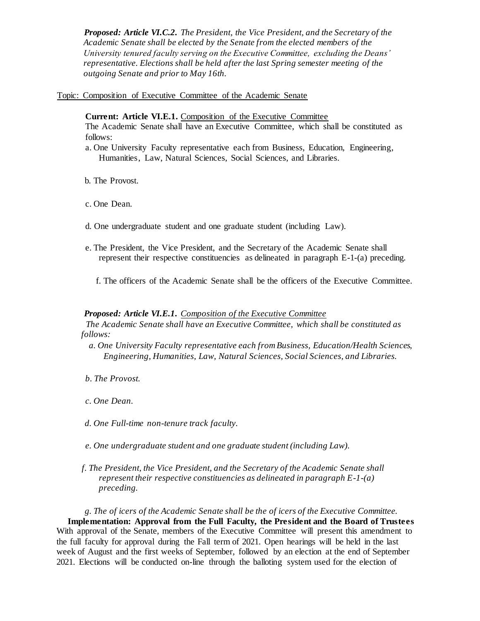*Proposed: Article VI.C.2. The President, the Vice President, and the Secretary of the Academic Senate shall be elected by the Senate from the elected members of the University tenured faculty serving on the Executive Committee, excluding the Deans' representative. Elections shall be held after the last Spring semester meeting of the outgoing Senate and prior to May 16th.* 

Topic: Composition of Executive Committee of the Academic Senate

**Current: Article VI.E.1.** Composition of the Executive Committee The Academic Senate shall have an Executive Committee, which shall be constituted as follows:

- a. One University Faculty representative each from Business, Education, Engineering, Humanities, Law, Natural Sciences, Social Sciences, and Libraries.
- b. The Provost.
- c. One Dean.
- d. One undergraduate student and one graduate student (including Law).
- e. The President, the Vice President, and the Secretary of the Academic Senate shall represent their respective constituencies as delineated in paragraph E-1-(a) preceding.
	- f. The officers of the Academic Senate shall be the officers of the Executive Committee.

#### *Proposed: Article VI.E.1. Composition of the Executive Committee*

*The Academic Senate shall have an Executive Committee, which shall be constituted as follows:* 

- *a. One University Faculty representative each from Business, Education/Health Sciences, Engineering, Humanities, Law, Natural Sciences, Social Sciences, and Libraries.*
- *b. The Provost.*
- *c. One Dean.*
- *d. One Full-time non-tenure track faculty.*
- *e. One undergraduate student and one graduate student (including Law).*
- *f. The President, the Vice President, and the Secretary of the Academic Senate shall represent their respective constituencies as delineated in paragraph E-1-(a) preceding.*

*g. The of icers of the Academic Senate shall be the of icers of the Executive Committee.*  **Implementation: Approval from the Full Faculty, the President and the Board of Trustees** With approval of the Senate, members of the Executive Committee will present this amendment to the full faculty for approval during the Fall term of 2021. Open hearings will be held in the last week of August and the first weeks of September, followed by an election at the end of September 2021. Elections will be conducted on-line through the balloting system used for the election of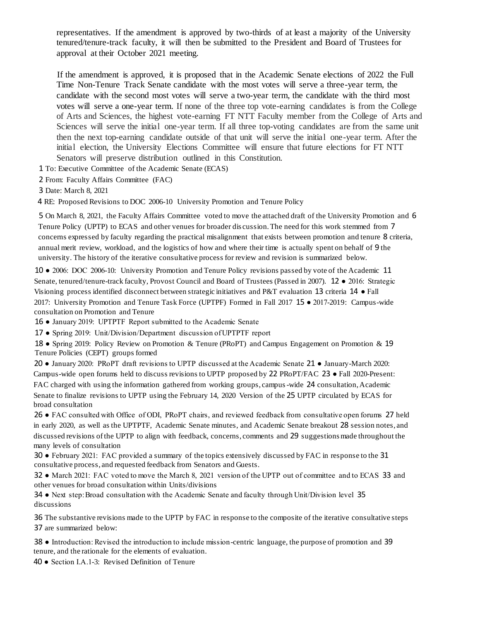representatives. If the amendment is approved by two-thirds of at least a majority of the University tenured/tenure-track faculty, it will then be submitted to the President and Board of Trustees for approval at their October 2021 meeting.

If the amendment is approved, it is proposed that in the Academic Senate elections of 2022 the Full Time Non-Tenure Track Senate candidate with the most votes will serve a three-year term, the candidate with the second most votes will serve a two-year term, the candidate with the third most votes will serve a one-year term. If none of the three top vote-earning candidates is from the College of Arts and Sciences, the highest vote-earning FT NTT Faculty member from the College of Arts and Sciences will serve the initial one-year term. If all three top-voting candidates are from the same unit then the next top-earning candidate outside of that unit will serve the initial one-year term. After the initial election, the University Elections Committee will ensure that future elections for FT NTT Senators will preserve distribution outlined in this Constitution.

1 To: Executive Committee of the Academic Senate (ECAS)

2 From: Faculty Affairs Committee (FAC)

3 Date: March 8, 2021

4 RE: Proposed Revisions to DOC 2006-10 University Promotion and Tenure Policy

5 On March 8, 2021, the Faculty Affairs Committee voted to move the attached draft of the University Promotion and 6 Tenure Policy (UPTP) to ECAS and other venues for broader dis cussion. The need for this work stemmed from 7 concerns expressed by faculty regarding the practical misalignment that exists between promotion and tenure 8 criteria, annual merit review, workload, and the logistics of how and where their time is actually spent on behalf of 9 the university. The history of the iterative consultative process for review and revision is summarized below.

10 ● 2006: DOC 2006-10: University Promotion and Tenure Policy revisions passed by vote of the Academic 11 Senate, tenured/tenure-track faculty, Provost Council and Board of Trustees (Passed in 2007). 12 ● 2016: Strategic Visioning process identified disconnect between strategic initiatives and P&T evaluation 13 criteria 14 ● Fall 2017: University Promotion and Tenure Task Force (UPTPF) Formed in Fall 2017 15 ● 2017-2019: Campus-wide consultation on Promotion and Tenure

16 ● January 2019: UPTPTF Report submitted to the Academic Senate

17 ● Spring 2019: Unit/Division/Department discussion of UPTPTF report

18 ● Spring 2019: Policy Review on Promotion & Tenure (PRoPT) and Campus Engagement on Promotion & 19 Tenure Policies (CEPT) groups formed

20 ● January 2020: PRoPT draft revisions to UPTP discussed at the Academic Senate 21 ● January-March 2020: Campus-wide open forums held to discuss revisions to UPTP proposed by 22 PRoPT/FAC 23 ● Fall 2020-Present: FAC charged with using the information gathered from working groups, campus-wide 24 consultation, Academic Senate to finalize revisions to UPTP using the February 14, 2020 Version of the 25 UPTP circulated by ECAS for broad consultation

26 ● FAC consulted with Office of ODI, PRoPT chairs, and reviewed feedback from consultative open forums 27 held in early 2020, as well as the UPTPTF, Academic Senate minutes, and Academic Senate breakout 28 session notes, and discussed revisions of the UPTP to align with feedback, concerns, comments and 29 suggestions made throughout the many levels of consultation

30 ● February 2021: FAC provided a summary of the topics extensively discussed by FAC in response to the 31 consultative process, and requested feedback from Senators and Guests.

32 ● March 2021: FAC voted to move the March 8, 2021 version of the UPTP out of committee and to ECAS 33 and other venues for broad consultation within Units/divisions

34 ● Next step: Broad consultation with the Academic Senate and faculty through Unit/Division level 35 discussions

36 The substantive revisions made to the UPTP by FAC in response to the composite of the iterative consultative steps 37 are summarized below:

38 ● Introduction: Revised the introduction to include mission-centric language, the purpose of promotion and 39 tenure, and the rationale for the elements of evaluation.

40 ● Section I.A.1-3: Revised Definition of Tenure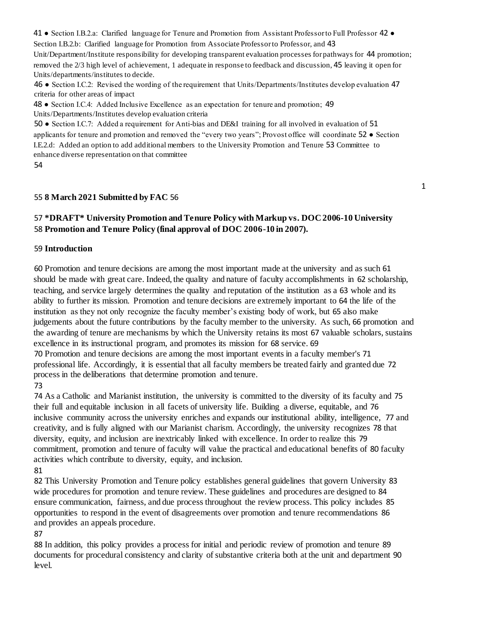41 ● Section I.B.2.a: Clarified language for Tenure and Promotion from Assistant Professor to Full Professor 42 ● Section I.B.2.b: Clarified language for Promotion from Associate Professor to Professor, and 43 Unit/Department/Institute responsibility for developing transparent evaluation processes for pathways for 44 promotion;

removed the 2/3 high level of achievement, 1 adequate in response to feedback and discussion, 45 leaving it open for Units/departments/institutes to decide.

46 ● Section I.C.2: Revised the wording of the requirement that Units/Departments/Institutes develop evaluation 47 criteria for other areas of impact

48 ● Section I.C.4: Added Inclusive Excellence as an expectation for tenure and promotion; 49 Units/Departments/Institutes develop evaluation criteria

50 ● Section I.C.7: Added a requirement for Anti-bias and DE&I training for all involved in evaluation of 51 applicants for tenure and promotion and removed the "every two years"; Provost office will coordinate 52 ● Section I.E.2.d: Added an option to add additional members to the University Promotion and Tenure 53 Committee to enhance diverse representation on that committee

1

# 54

## 55 **8 March 2021 Submitted by FAC** 56

# 57 **\*DRAFT\* University Promotion and Tenure Policy with Markup vs. DOC 2006-10 University**  58 **Promotion and Tenure Policy (final approval of DOC 2006-10 in 2007).**

### 59 **Introduction**

60 Promotion and tenure decisions are among the most important made at the university and as such 61 should be made with great care. Indeed, the quality and nature of faculty accomplishments in 62 scholarship, teaching, and service largely determines the quality and reputation of the institution as a 63 whole and its ability to further its mission. Promotion and tenure decisions are extremely important to 64 the life of the institution as they not only recognize the faculty member's existing body of work, but 65 also make judgements about the future contributions by the faculty member to the university. As such, 66 promotion and the awarding of tenure are mechanisms by which the University retains its most 67 valuable scholars, sustains excellence in its instructional program, and promotes its mission for 68 service. 69

70 Promotion and tenure decisions are among the most important events in a faculty member's 71 professional life. Accordingly, it is essential that all faculty members be treated fairly and granted due 72 process in the deliberations that determine promotion and tenure.

### 73

74 As a Catholic and Marianist institution, the university is committed to the diversity of its faculty and 75 their full and equitable inclusion in all facets of university life. Building a diverse, equitable, and 76 inclusive community across the university enriches and expands our institutional ability, intelligence, 77 and creativity, and is fully aligned with our Marianist charism. Accordingly, the university recognizes 78 that diversity, equity, and inclusion are inextricably linked with excellence. In order to realize this 79 commitment, promotion and tenure of faculty will value the practical and educational benefits of 80 faculty activities which contribute to diversity, equity, and inclusion.

### 81

82 This University Promotion and Tenure policy establishes general guidelines that govern University 83 wide procedures for promotion and tenure review. These guidelines and procedures are designed to 84 ensure communication, fairness, and due process throughout the review process. This policy includes 85 opportunities to respond in the event of disagreements over promotion and tenure recommendations 86 and provides an appeals procedure.

### 87

88 In addition, this policy provides a process for initial and periodic review of promotion and tenure 89 documents for procedural consistency and clarity of substantive criteria both at the unit and department 90 level.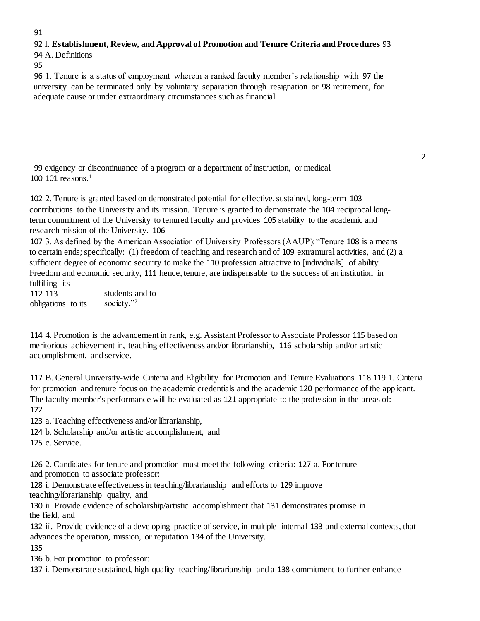### 91

## 92 I. **Establishment, Review, and Approval of Promotion and Tenure Criteria and Procedures** 93

94 A. Definitions

95

96 1. Tenure is a status of employment wherein a ranked faculty member's relationship with 97 the university can be terminated only by voluntary separation through resignation or 98 retirement, for adequate cause or under extraordinary circumstances such as financial

99 exigency or discontinuance of a program or a department of instruction, or medical 100 101 reasons. $1$ 

102 2. Tenure is granted based on demonstrated potential for effective, sustained, long-term 103 contributions to the University and its mission. Tenure is granted to demonstrate the 104 reciprocal longterm commitment of the University to tenured faculty and provides 105 stability to the academic and research mission of the University. 106

107 3. As defined by the American Association of University Professors (AAUP): "Tenure 108 is a means to certain ends; specifically: (1) freedom of teaching and research and of 109 extramural activities, and (2) a sufficient degree of economic security to make the 110 profession attractive to [individuals] of ability. Freedom and economic security, 111 hence, tenure, are indispensable to the success of an institution in fulfilling its

112 113 obligations to its students and to society."<sup>2</sup>

114 4. Promotion is the advancement in rank, e.g. Assistant Professor to Associate Professor 115 based on meritorious achievement in, teaching effectiveness and/or librarianship, 116 scholarship and/or artistic accomplishment, and service.

117 B. General University-wide Criteria and Eligibility for Promotion and Tenure Evaluations 118 119 1. Criteria for promotion and tenure focus on the academic credentials and the academic 120 performance of the applicant. The faculty member's performance will be evaluated as 121 appropriate to the profession in the areas of: 122

123 a. Teaching effectiveness and/or librarianship,

124 b. Scholarship and/or artistic accomplishment, and

125 c. Service.

126 2. Candidates for tenure and promotion must meet the following criteria: 127 a. For tenure and promotion to associate professor:

128 i. Demonstrate effectiveness in teaching/librarianship and efforts to 129 improve teaching/librarianship quality, and

130 ii. Provide evidence of scholarship/artistic accomplishment that 131 demonstrates promise in the field, and

132 iii. Provide evidence of a developing practice of service, in multiple internal 133 and external contexts, that advances the operation, mission, or reputation 134 of the University.

135

136 b. For promotion to professor:

137 i. Demonstrate sustained, high-quality teaching/librarianship and a 138 commitment to further enhance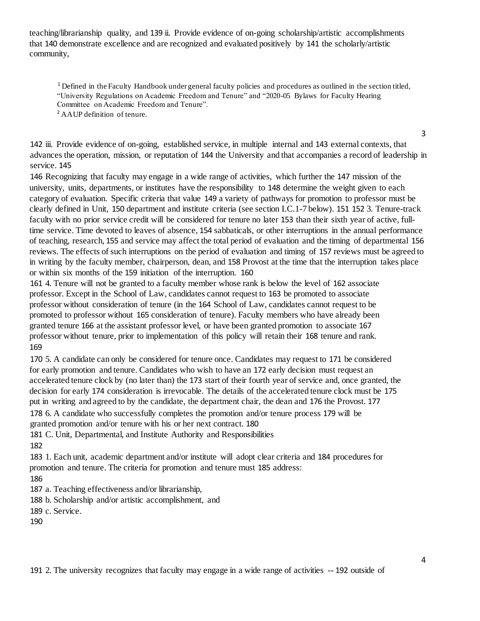teaching/librarianship quality, and 139 ii. Provide evidence of on-going scholarship/artistic accomplishments that 140 demonstrate excellence and are recognized and evaluated positively by 141 the scholarly/artistic community,

<sup>1</sup> Defined in the Faculty Handbook under general faculty policies and procedures as outlined in the section titled, "University Regulations on Academic Freedom and Tenure" and "2020-05 Bylaws for Faculty Hearing Committee on Academic Freedom and Tenure".

<sup>2</sup> AAUP definition of tenure.

142 iii. Provide evidence of on-going, established service, in multiple internal and 143 external contexts, that advances the operation, mission, or reputation of 144 the University and that accompanies a record of leadership in service. 145

146 Recognizing that faculty may engage in a wide range of activities, which further the 147 mission of the university, units, departments, or institutes have the responsibility to 148 determine the weight given to each category of evaluation. Specific criteria that value 149 a variety of pathways for promotion to professor must be clearly defined in Unit, 150 department and institute criteria (see section I.C.1-7 below). 151 152 3. Tenure-track faculty with no prior service credit will be considered for tenure no later 153 than their sixth year of active, fulltime service. Time devoted to leaves of absence, 154 sabbaticals, or other interruptions in the annual performance of teaching, research, 155 and service may affect the total period of evaluation and the timing of departmental 156 reviews. The effects of such interruptions on the period of evaluation and timing of 157 reviews must be agreed to in writing by the faculty member, chairperson, dean, and 158 Provost at the time that the interruption takes place or within six months of the 159 initiation of the interruption. 160

161 4. Tenure will not be granted to a faculty member whose rank is below the level of 162 associate professor. Except in the School of Law, candidates cannot request to 163 be promoted to associate professor without consideration of tenure (in the 164 School of Law, candidates cannot request to be promoted to professor without 165 consideration of tenure). Faculty members who have already been granted tenure 166 at the assistant professor level, or have been granted promotion to associate 167 professor without tenure, prior to implementation of this policy will retain their 168 tenure and rank. 169

170 5. A candidate can only be considered for tenure once. Candidates may request to 171 be considered for early promotion and tenure. Candidates who wish to have an 172 early decision must request an accelerated tenure clock by (no later than) the 173 start of their fourth year of service and, once granted, the decision for early 174 consideration is irrevocable. The details of the accelerated tenure clock must be 175 put in writing and agreed to by the candidate, the department chair, the dean and 176 the Provost. 177 178 6. A candidate who successfully completes the promotion and/or tenure process 179 will be granted promotion and/or tenure with his or her next contract. 180

181 C. Unit, Departmental, and Institute Authority and Responsibilities

182

183 1. Each unit, academic department and/or institute will adopt clear criteria and 184 procedures for promotion and tenure. The criteria for promotion and tenure must 185 address:

186

187 a. Teaching effectiveness and/or librarianship,

188 b. Scholarship and/or artistic accomplishment, and

189 c. Service.

190

3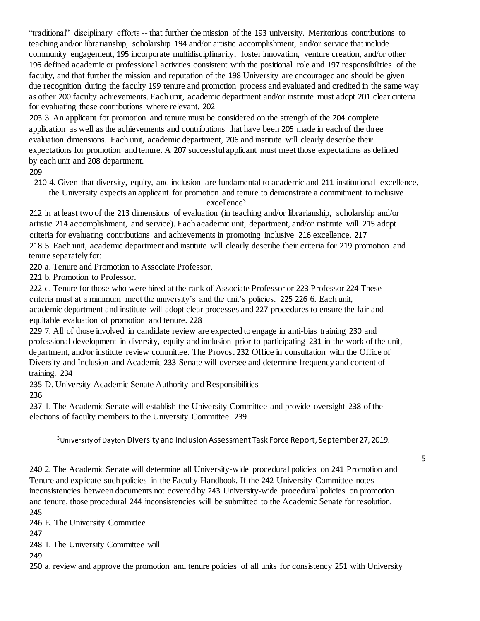"traditional" disciplinary efforts -- that further the mission of the 193 university. Meritorious contributions to teaching and/or librarianship, scholarship 194 and/or artistic accomplishment, and/or service that include community engagement, 195 incorporate multidisciplinarity, foster innovation, venture creation, and/or other 196 defined academic or professional activities consistent with the positional role and 197 responsibilities of the faculty, and that further the mission and reputation of the 198 University are encouraged and should be given due recognition during the faculty 199 tenure and promotion process and evaluated and credited in the same way as other 200 faculty achievements. Each unit, academic department and/or institute must adopt 201 clear criteria for evaluating these contributions where relevant. 202

203 3. An applicant for promotion and tenure must be considered on the strength of the 204 complete application as well as the achievements and contributions that have been 205 made in each of the three evaluation dimensions. Each unit, academic department, 206 and institute will clearly describe their expectations for promotion and tenure. A 207 successful applicant must meet those expectations as defined by each unit and 208 department.

209

210 4. Given that diversity, equity, and inclusion are fundamental to academic and 211 institutional excellence, the University expects an applicant for promotion and tenure to demonstrate a commitment to inclusive excellence<sup>3</sup>

212 in at least two of the 213 dimensions of evaluation (in teaching and/or librarianship, scholarship and/or artistic 214 accomplishment, and service). Each academic unit, department, and/or institute will 215 adopt criteria for evaluating contributions and achievements in promoting inclusive 216 excellence. 217 218 5. Each unit, academic department and institute will clearly describe their criteria for 219 promotion and tenure separately for:

220 a. Tenure and Promotion to Associate Professor,

221 b. Promotion to Professor.

222 c. Tenure for those who were hired at the rank of Associate Professor or 223 Professor 224 These criteria must at a minimum meet the university's and the unit's policies. 225 226 6. Each unit, academic department and institute will adopt clear processes and 227 procedures to ensure the fair and equitable evaluation of promotion and tenure. 228

229 7. All of those involved in candidate review are expected to engage in anti-bias training 230 and professional development in diversity, equity and inclusion prior to participating 231 in the work of the unit, department, and/or institute review committee. The Provost 232 Office in consultation with the Office of Diversity and Inclusion and Academic 233 Senate will oversee and determine frequency and content of training. 234

235 D. University Academic Senate Authority and Responsibilities

236

237 1. The Academic Senate will establish the University Committee and provide oversight 238 of the elections of faculty members to the University Committee. 239

<sup>3</sup>University of Dayton Diversity and Inclusion Assessment Task Force Report, September 27, 2019.

5

240 2. The Academic Senate will determine all University-wide procedural policies on 241 Promotion and Tenure and explicate such policies in the Faculty Handbook. If the 242 University Committee notes inconsistencies between documents not covered by 243 University-wide procedural policies on promotion and tenure, those procedural 244 inconsistencies will be submitted to the Academic Senate for resolution. 245

246 E. The University Committee

247

248 1. The University Committee will

249

250 a. review and approve the promotion and tenure policies of all units for consistency 251 with University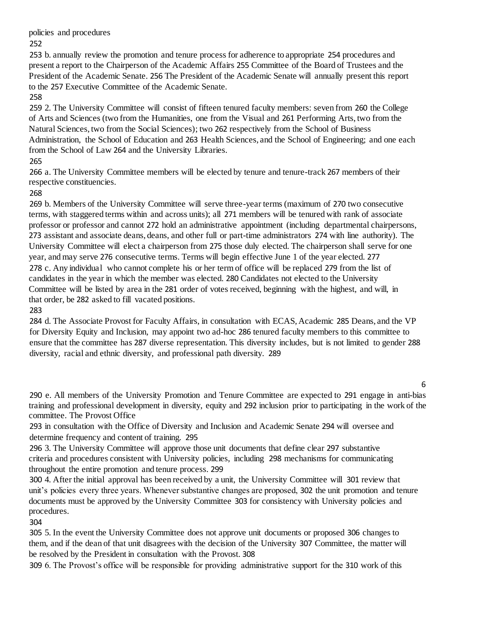policies and procedures

252

253 b. annually review the promotion and tenure process for adherence to appropriate 254 procedures and present a report to the Chairperson of the Academic Affairs 255 Committee of the Board of Trustees and the President of the Academic Senate. 256 The President of the Academic Senate will annually present this report to the 257 Executive Committee of the Academic Senate.

258

259 2. The University Committee will consist of fifteen tenured faculty members: seven from 260 the College of Arts and Sciences (two from the Humanities, one from the Visual and 261 Performing Arts, two from the Natural Sciences, two from the Social Sciences); two 262 respectively from the School of Business Administration, the School of Education and 263 Health Sciences, and the School of Engineering; and one each from the School of Law 264 and the University Libraries.

265

266 a. The University Committee members will be elected by tenure and tenure-track 267 members of their respective constituencies.

268

269 b. Members of the University Committee will serve three-year terms (maximum of 270 two consecutive terms, with staggered terms within and across units); all 271 members will be tenured with rank of associate professor or professor and cannot 272 hold an administrative appointment (including departmental chairpersons, 273 assistant and associate deans, deans, and other full or part-time administrators 274 with line authority). The University Committee will elect a chairperson from 275 those duly elected. The chairperson shall serve for one year, and may serve 276 consecutive terms. Terms will begin effective June 1 of the year elected. 277 278 c. Any individual who cannot complete his or her term of office will be replaced 279 from the list of candidates in the year in which the member was elected. 280 Candidates not elected to the University Committee will be listed by area in the 281 order of votes received, beginning with the highest, and will, in that order, be 282 asked to fill vacated positions.

283

284 d. The Associate Provost for Faculty Affairs, in consultation with ECAS, Academic 285 Deans, and the VP for Diversity Equity and Inclusion, may appoint two ad-hoc 286 tenured faculty members to this committee to ensure that the committee has 287 diverse representation. This diversity includes, but is not limited to gender 288 diversity, racial and ethnic diversity, and professional path diversity. 289

6

290 e. All members of the University Promotion and Tenure Committee are expected to 291 engage in anti-bias training and professional development in diversity, equity and 292 inclusion prior to participating in the work of the committee. The Provost Office

293 in consultation with the Office of Diversity and Inclusion and Academic Senate 294 will oversee and determine frequency and content of training. 295

296 3. The University Committee will approve those unit documents that define clear 297 substantive criteria and procedures consistent with University policies, including 298 mechanisms for communicating throughout the entire promotion and tenure process. 299

300 4. After the initial approval has been received by a unit, the University Committee will 301 review that unit's policies every three years. Whenever substantive changes are proposed, 302 the unit promotion and tenure documents must be approved by the University Committee 303 for consistency with University policies and procedures.

304

305 5. In the event the University Committee does not approve unit documents or proposed 306 changes to them, and if the dean of that unit disagrees with the decision of the University 307 Committee, the matter will be resolved by the President in consultation with the Provost. 308

309 6. The Provost's office will be responsible for providing administrative support for the 310 work of this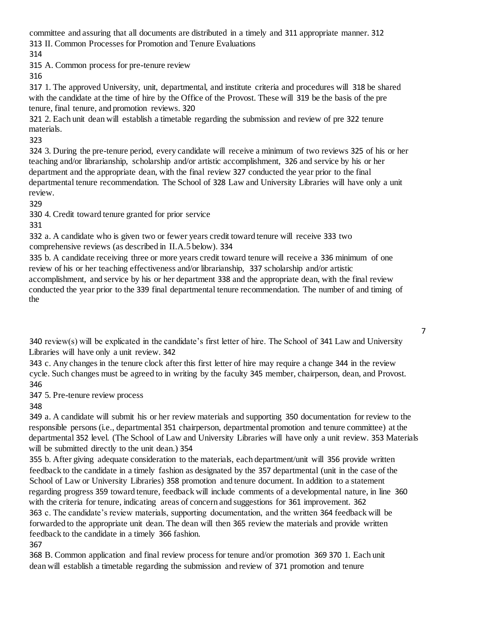committee and assuring that all documents are distributed in a timely and 311 appropriate manner. 312 313 II. Common Processes for Promotion and Tenure Evaluations

314

315 A. Common process for pre-tenure review

316

317 1. The approved University, unit, departmental, and institute criteria and procedures will 318 be shared with the candidate at the time of hire by the Office of the Provost. These will 319 be the basis of the pre tenure, final tenure, and promotion reviews. 320

321 2. Each unit dean will establish a timetable regarding the submission and review of pre 322 tenure materials.

323

324 3. During the pre-tenure period, every candidate will receive a minimum of two reviews 325 of his or her teaching and/or librarianship, scholarship and/or artistic accomplishment, 326 and service by his or her department and the appropriate dean, with the final review 327 conducted the year prior to the final departmental tenure recommendation. The School of 328 Law and University Libraries will have only a unit review.

329

330 4. Credit toward tenure granted for prior service

331

332 a. A candidate who is given two or fewer years credit toward tenure will receive 333 two comprehensive reviews (as described in II.A.5 below). 334

335 b. A candidate receiving three or more years credit toward tenure will receive a 336 minimum of one review of his or her teaching effectiveness and/or librarianship, 337 scholarship and/or artistic accomplishment, and service by his or her department 338 and the appropriate dean, with the final review conducted the year prior to the 339 final departmental tenure recommendation. The number of and timing of the

7

340 review(s) will be explicated in the candidate's first letter of hire. The School of 341 Law and University Libraries will have only a unit review. 342

343 c. Any changes in the tenure clock after this first letter of hire may require a change 344 in the review cycle. Such changes must be agreed to in writing by the faculty 345 member, chairperson, dean, and Provost. 346

347 5. Pre-tenure review process

348

349 a. A candidate will submit his or her review materials and supporting 350 documentation for review to the responsible persons (i.e., departmental 351 chairperson, departmental promotion and tenure committee) at the departmental 352 level. (The School of Law and University Libraries will have only a unit review. 353 Materials will be submitted directly to the unit dean.) 354

355 b. After giving adequate consideration to the materials, each department/unit will 356 provide written feedback to the candidate in a timely fashion as designated by the 357 departmental (unit in the case of the School of Law or University Libraries) 358 promotion and tenure document. In addition to a statement regarding progress 359 toward tenure, feedback will include comments of a developmental nature, in line 360 with the criteria for tenure, indicating areas of concern and suggestions for 361 improvement. 362 363 c. The candidate's review materials, supporting documentation, and the written 364 feedback will be forwarded to the appropriate unit dean. The dean will then 365 review the materials and provide written feedback to the candidate in a timely 366 fashion. 367

368 B. Common application and final review process for tenure and/or promotion 369 370 1. Each unit dean will establish a timetable regarding the submission and review of 371 promotion and tenure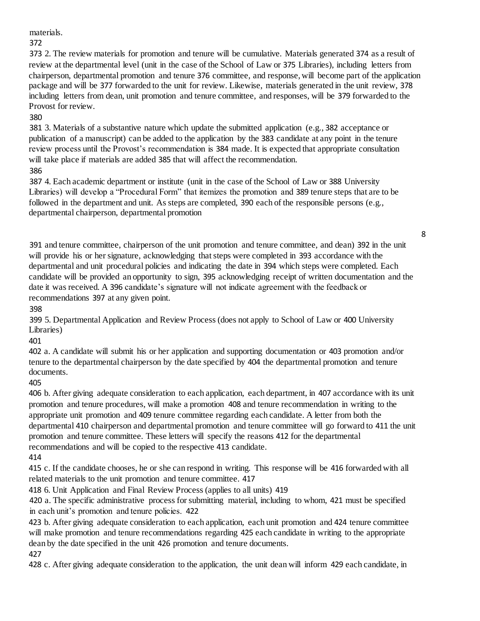materials.

372

373 2. The review materials for promotion and tenure will be cumulative. Materials generated 374 as a result of review at the departmental level (unit in the case of the School of Law or 375 Libraries), including letters from chairperson, departmental promotion and tenure 376 committee, and response, will become part of the application package and will be 377 forwarded to the unit for review. Likewise, materials generated in the unit review, 378 including letters from dean, unit promotion and tenure committee, and responses, will be 379 forwarded to the Provost for review.

380

381 3. Materials of a substantive nature which update the submitted application (e.g., 382 acceptance or publication of a manuscript) can be added to the application by the 383 candidate at any point in the tenure review process until the Provost's recommendation is 384 made. It is expected that appropriate consultation will take place if materials are added 385 that will affect the recommendation. 386

387 4. Each academic department or institute (unit in the case of the School of Law or 388 University Libraries) will develop a "Procedural Form" that itemizes the promotion and 389 tenure steps that are to be followed in the department and unit. As steps are completed, 390 each of the responsible persons (e.g., departmental chairperson, departmental promotion

391 and tenure committee, chairperson of the unit promotion and tenure committee, and dean) 392 in the unit will provide his or her signature, acknowledging that steps were completed in 393 accordance with the departmental and unit procedural policies and indicating the date in 394 which steps were completed. Each candidate will be provided an opportunity to sign, 395 acknowledging receipt of written documentation and the date it was received. A 396 candidate's signature will not indicate agreement with the feedback or recommendations 397 at any given point.

398

399 5. Departmental Application and Review Process (does not apply to School of Law or 400 University Libraries)

401

402 a. A candidate will submit his or her application and supporting documentation or 403 promotion and/or tenure to the departmental chairperson by the date specified by 404 the departmental promotion and tenure documents.

405

406 b. After giving adequate consideration to each application, each department, in 407 accordance with its unit promotion and tenure procedures, will make a promotion 408 and tenure recommendation in writing to the appropriate unit promotion and 409 tenure committee regarding each candidate. A letter from both the departmental 410 chairperson and departmental promotion and tenure committee will go forward to 411 the unit promotion and tenure committee. These letters will specify the reasons 412 for the departmental recommendations and will be copied to the respective 413 candidate.

414

415 c. If the candidate chooses, he or she can respond in writing. This response will be 416 forwarded with all related materials to the unit promotion and tenure committee. 417

418 6. Unit Application and Final Review Process (applies to all units) 419

420 a. The specific administrative process for submitting material, including to whom, 421 must be specified in each unit's promotion and tenure policies. 422

423 b. After giving adequate consideration to each application, each unit promotion and 424 tenure committee will make promotion and tenure recommendations regarding 425 each candidate in writing to the appropriate dean by the date specified in the unit 426 promotion and tenure documents.

427

428 c. After giving adequate consideration to the application, the unit dean will inform 429 each candidate, in

8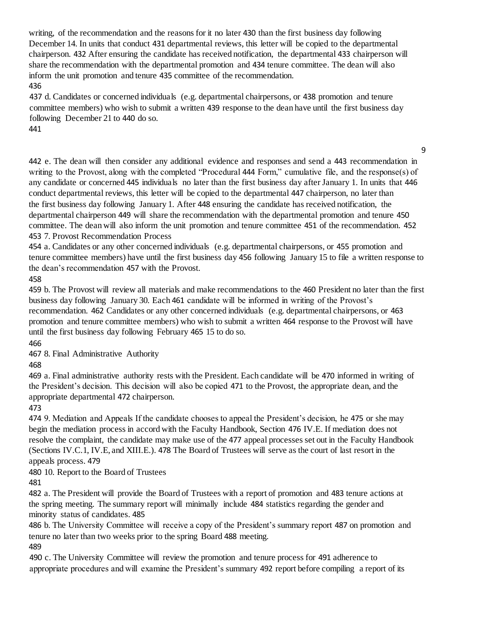writing, of the recommendation and the reasons for it no later 430 than the first business day following December 14. In units that conduct 431 departmental reviews, this letter will be copied to the departmental chairperson. 432 After ensuring the candidate has received notification, the departmental 433 chairperson will share the recommendation with the departmental promotion and 434 tenure committee. The dean will also inform the unit promotion and tenure 435 committee of the recommendation. 436

437 d. Candidates or concerned individuals (e.g. departmental chairpersons, or 438 promotion and tenure committee members) who wish to submit a written 439 response to the dean have until the first business day following December 21 to 440 do so.

441

442 e. The dean will then consider any additional evidence and responses and send a 443 recommendation in writing to the Provost, along with the completed "Procedural 444 Form," cumulative file, and the response(s) of any candidate or concerned 445 individuals no later than the first business day after January 1. In units that 446 conduct departmental reviews, this letter will be copied to the departmental 447 chairperson, no later than the first business day following January 1. After 448 ensuring the candidate has received notification, the departmental chairperson 449 will share the recommendation with the departmental promotion and tenure 450 committee. The dean will also inform the unit promotion and tenure committee 451 of the recommendation. 452 453 7. Provost Recommendation Process

9

454 a. Candidates or any other concerned individuals (e.g. departmental chairpersons, or 455 promotion and tenure committee members) have until the first business day 456 following January 15 to file a written response to the dean's recommendation 457 with the Provost.

458

459 b. The Provost will review all materials and make recommendations to the 460 President no later than the first business day following January 30. Each 461 candidate will be informed in writing of the Provost's recommendation. 462 Candidates or any other concerned individuals (e.g. departmental chairpersons, or 463 promotion and tenure committee members) who wish to submit a written 464 response to the Provost will have until the first business day following February 465 15 to do so.

466

467 8. Final Administrative Authority

468

469 a. Final administrative authority rests with the President. Each candidate will be 470 informed in writing of the President's decision. This decision will also be copied 471 to the Provost, the appropriate dean, and the appropriate departmental 472 chairperson.

473

474 9. Mediation and Appeals If the candidate chooses to appeal the President's decision, he 475 or she may begin the mediation process in accord with the Faculty Handbook, Section 476 IV.E. If mediation does not resolve the complaint, the candidate may make use of the 477 appeal processes set out in the Faculty Handbook (Sections IV.C.1, IV.E, and XIII.E.). 478 The Board of Trustees will serve as the court of last resort in the appeals process. 479

480 10. Report to the Board of Trustees

481

482 a. The President will provide the Board of Trustees with a report of promotion and 483 tenure actions at the spring meeting. The summary report will minimally include 484 statistics regarding the gender and minority status of candidates. 485

486 b. The University Committee will receive a copy of the President's summary report 487 on promotion and tenure no later than two weeks prior to the spring Board 488 meeting. 489

490 c. The University Committee will review the promotion and tenure process for 491 adherence to appropriate procedures and will examine the President's summary 492 report before compiling a report of its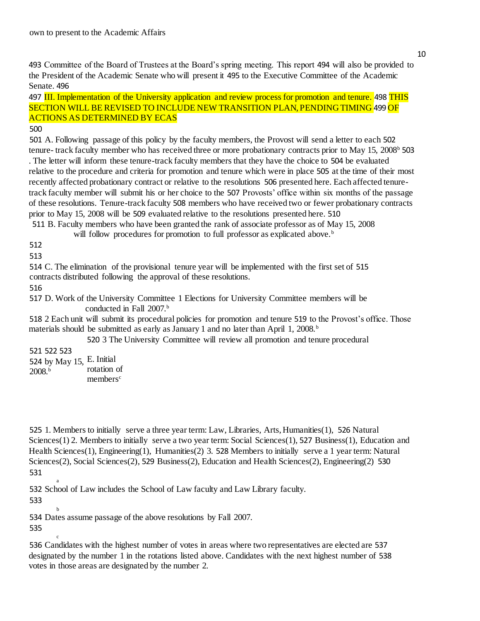493 Committee of the Board of Trustees at the Board's spring meeting. This report 494 will also be provided to the President of the Academic Senate who will present it 495 to the Executive Committee of the Academic Senate. 496

497 III. Implementation of the University application and review process for promotion and tenure. 498 THIS SECTION WILL BE REVISED TO INCLUDE NEW TRANSITION PLAN, PENDING TIMING 499 OF ACTIONS AS DETERMINED BY ECAS

## 500

501 A. Following passage of this policy by the faculty members, the Provost will send a letter to each 502 tenure- track faculty member who has received three or more probationary contracts prior to May 15, 2008b 503 . The letter will inform these tenure-track faculty members that they have the choice to 504 be evaluated relative to the procedure and criteria for promotion and tenure which were in place 505 at the time of their most recently affected probationary contract or relative to the resolutions 506 presented here. Each affected tenuretrack faculty member will submit his or her choice to the 507 Provosts' office within six months of the passage of these resolutions. Tenure-track faculty 508 members who have received two or fewer probationary contracts prior to May 15, 2008 will be 509 evaluated relative to the resolutions presented here. 510 511 B. Faculty members who have been granted the rank of associate professor as of May 15, 2008

will follow procedures for promotion to full professor as explicated above.<sup>b</sup>

512

513

514 C. The elimination of the provisional tenure year will be implemented with the first set of 515 contracts distributed following the approval of these resolutions.

516

517 D. Work of the University Committee 1 Elections for University Committee members will be conducted in Fall 2007.<sup>b</sup>

518 2 Each unit will submit its procedural policies for promotion and tenure 519 to the Provost's office. Those materials should be submitted as early as January 1 and no later than April 1, 2008.<sup>b</sup>

520 3 The University Committee will review all promotion and tenure procedural

521 522 523 524 by May 15, E. Initial 2008.b rotation of members<sup>c</sup>

525 1. Members to initially serve a three year term: Law, Libraries, Arts, Humanities(1), 526 Natural Sciences(1) 2. Members to initially serve a two year term: Social Sciences(1), 527 Business(1), Education and Health Sciences(1), Engineering(1), Humanities(2) 3. 528 Members to initially serve a 1 year term: Natural Sciences(2), Social Sciences(2), 529 Business(2), Education and Health Sciences(2), Engineering(2) 530 531

a 532 School of Law includes the School of Law faculty and Law Library faculty.

533

b 534 Dates assume passage of the above resolutions by Fall 2007.

535

c

536 Candidates with the highest number of votes in areas where two representatives are elected are 537 designated by the number 1 in the rotations listed above. Candidates with the next highest number of 538 votes in those areas are designated by the number 2.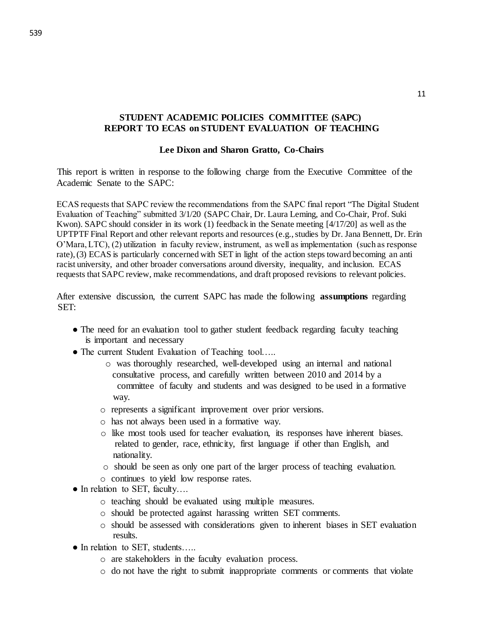## **STUDENT ACADEMIC POLICIES COMMITTEE (SAPC) REPORT TO ECAS on STUDENT EVALUATION OF TEACHING**

### **Lee Dixon and Sharon Gratto, Co-Chairs**

This report is written in response to the following charge from the Executive Committee of the Academic Senate to the SAPC:

ECAS requests that SAPC review the recommendations from the SAPC final report "The Digital Student Evaluation of Teaching" submitted 3/1/20 (SAPC Chair, Dr. Laura Leming, and Co-Chair, Prof. Suki Kwon). SAPC should consider in its work (1) feedback in the Senate meeting [4/17/20] as well as the UPTPTF Final Report and other relevant reports and resources (e.g., studies by Dr. Jana Bennett, Dr. Erin O'Mara, LTC), (2) utilization in faculty review, instrument, as well as implementation (such as response rate), (3) ECAS is particularly concerned with SET in light of the action steps toward becoming an anti racist university, and other broader conversations around diversity, inequality, and inclusion. ECAS requests that SAPC review, make recommendations, and draft proposed revisions to relevant policies.

After extensive discussion, the current SAPC has made the following **assumptions** regarding SET:

- The need for an evaluation tool to gather student feedback regarding faculty teaching is important and necessary
- The current Student Evaluation of Teaching tool.....
	- o was thoroughly researched, well-developed using an internal and national consultative process, and carefully written between 2010 and 2014 by a committee of faculty and students and was designed to be used in a formative way.
	- o represents a significant improvement over prior versions.
	- o has not always been used in a formative way.
	- o like most tools used for teacher evaluation, its responses have inherent biases. related to gender, race, ethnicity, first language if other than English, and nationality.
	- o should be seen as only one part of the larger process of teaching evaluation.
	- o continues to yield low response rates.
- In relation to SET, faculty....
	- o teaching should be evaluated using multiple measures.
	- o should be protected against harassing written SET comments.
	- o should be assessed with considerations given to inherent biases in SET evaluation results.
- In relation to SET, students…..
	- o are stakeholders in the faculty evaluation process.
	- o do not have the right to submit inappropriate comments or comments that violate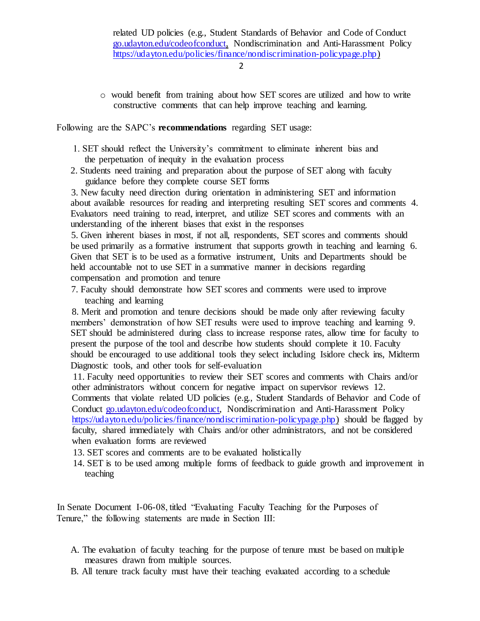2

o would benefit from training about how SET scores are utilized and how to write constructive comments that can help improve teaching and learning.

Following are the SAPC's **recommendations** regarding SET usage:

- 1. SET should reflect the University's commitment to eliminate inherent bias and the perpetuation of inequity in the evaluation process
- 2. Students need training and preparation about the purpose of SET along with faculty guidance before they complete course SET forms

3. New faculty need direction during orientation in administering SET and information about available resources for reading and interpreting resulting SET scores and comments 4. Evaluators need training to read, interpret, and utilize SET scores and comments with an understanding of the inherent biases that exist in the responses

5. Given inherent biases in most, if not all, respondents, SET scores and comments should be used primarily as a formative instrument that supports growth in teaching and learning 6. Given that SET is to be used as a formative instrument, Units and Departments should be held accountable not to use SET in a summative manner in decisions regarding compensation and promotion and tenure

7. Faculty should demonstrate how SET scores and comments were used to improve teaching and learning

8. Merit and promotion and tenure decisions should be made only after reviewing faculty members' demonstration of how SET results were used to improve teaching and learning 9. SET should be administered during class to increase response rates, allow time for faculty to present the purpose of the tool and describe how students should complete it 10. Faculty should be encouraged to use additional tools they select including Isidore check ins, Midterm Diagnostic tools, and other tools for self-evaluation

11. Faculty need opportunities to review their SET scores and comments with Chairs and/or other administrators without concern for negative impact on supervisor reviews 12. Comments that violate related UD policies (e.g., Student Standards of Behavior and Code of Conduct go.udayton.edu/codeofconduct, Nondiscrimination and Anti-Harassment Policy https://udayton.edu/policies/finance/nondiscrimination-policypage.php) should be flagged by faculty, shared immediately with Chairs and/or other administrators, and not be considered when evaluation forms are reviewed

- 13. SET scores and comments are to be evaluated holistically
- 14. SET is to be used among multiple forms of feedback to guide growth and improvement in teaching

In Senate Document I-06-08, titled "Evaluating Faculty Teaching for the Purposes of Tenure," the following statements are made in Section III:

- A. The evaluation of faculty teaching for the purpose of tenure must be based on multiple measures drawn from multiple sources.
- B. All tenure track faculty must have their teaching evaluated according to a schedule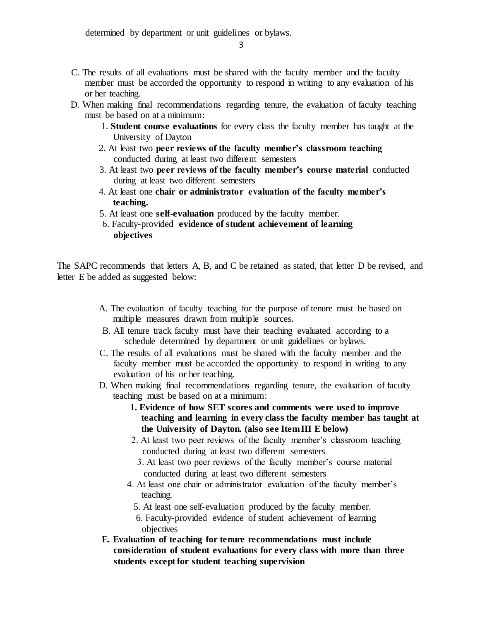determined by department or unit guidelines or bylaws.

3

- C. The results of all evaluations must be shared with the faculty member and the faculty member must be accorded the opportunity to respond in writing to any evaluation of his or her teaching.
- D. When making final recommendations regarding tenure, the evaluation of faculty teaching must be based on at a minimum:
	- 1. **Student course evaluations** for every class the faculty member has taught at the University of Dayton
	- 2. At least two **peer reviews of the faculty member's classroom teaching**  conducted during at least two different semesters
	- 3. At least two **peer reviews of the faculty member's course material** conducted during at least two different semesters
	- 4. At least one **chair or administrator evaluation of the faculty member's teaching.**
	- 5. At least one **self-evaluation** produced by the faculty member.
	- 6. Faculty-provided **evidence of student achievement of learning objectives**

The SAPC recommends that letters A, B, and C be retained as stated, that letter D be revised, and letter E be added as suggested below:

- A. The evaluation of faculty teaching for the purpose of tenure must be based on multiple measures drawn from multiple sources.
- B. All tenure track faculty must have their teaching evaluated according to a schedule determined by department or unit guidelines or bylaws.
- C. The results of all evaluations must be shared with the faculty member and the faculty member must be accorded the opportunity to respond in writing to any evaluation of his or her teaching.
- D. When making final recommendations regarding tenure, the evaluation of faculty teaching must be based on at a minimum:
	- **1. Evidence of how SET scores and comments were used to improve teaching and learning in every class the faculty member has taught at the University of Dayton. (also see Item III E below)**
	- 2. At least two peer reviews of the faculty member's classroom teaching conducted during at least two different semesters
		- 3. At least two peer reviews of the faculty member's course material conducted during at least two different semesters
	- 4. At least one chair or administrator evaluation of the faculty member's teaching.
		- 5. At least one self-evaluation produced by the faculty member.
		- 6. Faculty-provided evidence of student achievement of learning objectives
- **E. Evaluation of teaching for tenure recommendations must include consideration of student evaluations for every class with more than three students except for student teaching supervision**